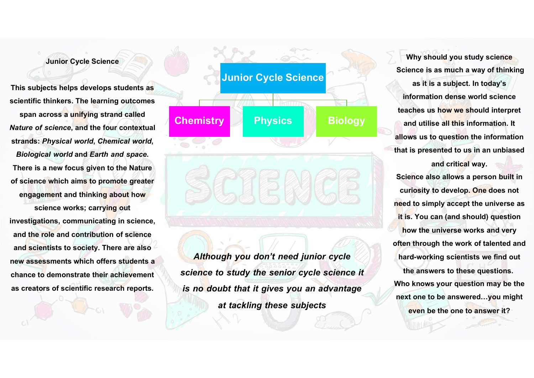## Junior Cycle Science

This subjects helps develops students as scientific thinkers. The learning outcomes span across a unifying strand called **Chemistry** Nature of science, and the four contextual strands: Physical world, Chemical world, Biological world and Earth and space.<br>There is a new focus given to the Nature of science which aims to promote greater engagement and thinking about how science works; carrying out investigations, communicating in science, and the role and contribution of science and scientists to society. There are also new assessments which offers students a

chance to demonstrate their achievement

as creators of scientific research reports.

Junior Cycle Science Chemistry Physics Biology and utilis

Although you don't need junior cycle science to study the senior cycle science it is no doubt that it gives you an advantage at tackling these subjects

Why should you study science Science is as much a way of thinking as it is a subject. In today's information dense world science teaches us how we should interpret and utilise all this information. It allows us to question the information that is presented to us in an unbiased and critical way. Science also allows a person built in curiosity to develop. One does not need to simply accept the universe as it is. You can (and should) question how the universe works and very often through the work of talented and hard-working scientists we find out the answers to these questions. Who knows your question may be the next one to be answered…you might even be the one to answer it?